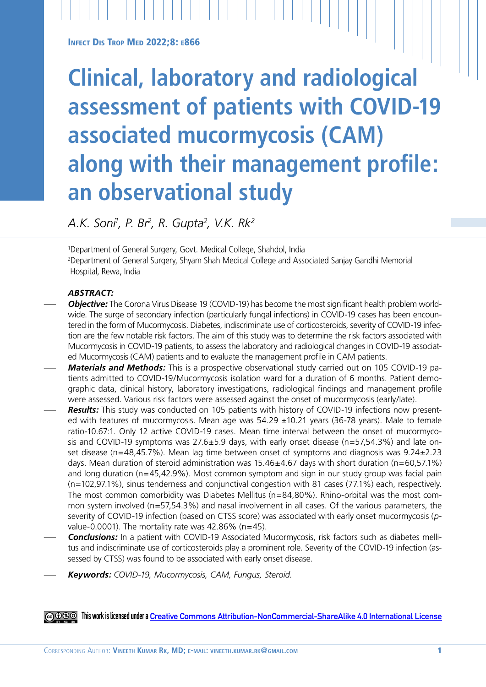**INFECT DIS TROP MED 2022:8: E866** 

# **Clinical, laboratory and radiological assessment of patients with COVID-19 associated mucormycosis (CAM) along with their management profile: an observational study**

*A.K. Soni1 , P. Br2 , R. Gupta2 , V.K. Rk2*

1 Department of General Surgery, Govt. Medical College, Shahdol, India 2 Department of General Surgery, Shyam Shah Medical College and Associated Sanjay Gandhi Memorial Hospital, Rewa, India

# *ABSTRACT:*

- *Objective:* The Corona Virus Disease 19 (COVID-19) has become the most significant health problem worldwide. The surge of secondary infection (particularly fungal infections) in COVID-19 cases has been encountered in the form of Mucormycosis. Diabetes, indiscriminate use of corticosteroids, severity of COVID-19 infection are the few notable risk factors. The aim of this study was to determine the risk factors associated with Mucormycosis in COVID-19 patients, to assess the laboratory and radiological changes in COVID-19 associated Mucormycosis (CAM) patients and to evaluate the management profile in CAM patients.
- *Materials and Methods:* This is a prospective observational study carried out on 105 COVID-19 patients admitted to COVID-19/Mucormycosis isolation ward for a duration of 6 months. Patient demographic data, clinical history, laboratory investigations, radiological findings and management profile were assessed. Various risk factors were assessed against the onset of mucormycosis (early/late).
- *Results:* This study was conducted on 105 patients with history of COVID-19 infections now presented with features of mucormycosis. Mean age was  $54.29 \pm 10.21$  years (36-78 years). Male to female ratio-10.67:1. Only 12 active COVID-19 cases. Mean time interval between the onset of mucormycosis and COVID-19 symptoms was  $27.6 \pm 5.9$  days, with early onset disease (n=57,54.3%) and late onset disease (n=48,45.7%). Mean lag time between onset of symptoms and diagnosis was  $9.24 \pm 2.23$ days. Mean duration of steroid administration was  $15.46 \pm 4.67$  days with short duration (n=60,57.1%) and long duration (n=45,42.9%). Most common symptom and sign in our study group was facial pain (n=102,97.1%), sinus tenderness and conjunctival congestion with 81 cases (77.1%) each, respectively. The most common comorbidity was Diabetes Mellitus (n=84,80%). Rhino-orbital was the most common system involved (n=57,54.3%) and nasal involvement in all cases. Of the various parameters, the severity of COVID-19 infection (based on CTSS score) was associated with early onset mucormycosis (*p*value-0.0001). The mortality rate was  $42.86\%$  (n=45).
- *Conclusions:* In a patient with COVID-19 Associated Mucormycosis, risk factors such as diabetes mellitus and indiscriminate use of corticosteroids play a prominent role. Severity of the COVID-19 infection (assessed by CTSS) was found to be associated with early onset disease.
- *Keywords: COVID-19, Mucormycosis, CAM, Fungus, Steroid.*

**This work is licensed under a [Creative Commons Attribution-NonCommercial-ShareAlike 4.0 International License](https://creativecommons.org/licenses/by-nc-sa/4.0/)**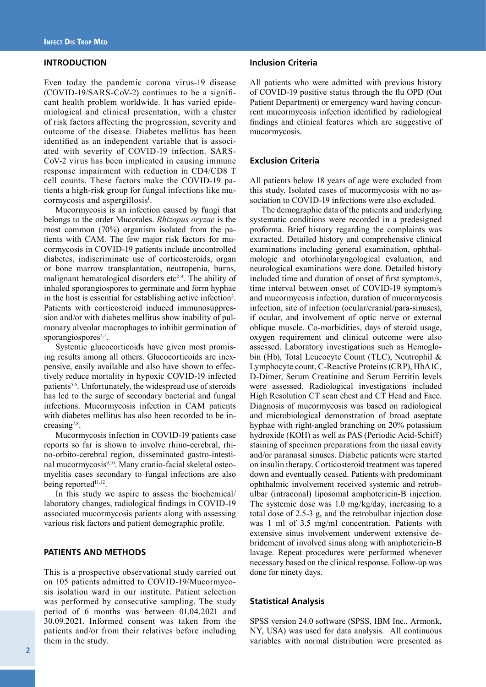# **INTRODUCTION**

Even today the pandemic corona virus-19 disease (COVID-19/SARS-CoV-2) continues to be a significant health problem worldwide. It has varied epidemiological and clinical presentation, with a cluster of risk factors affecting the progression, severity and outcome of the disease. Diabetes mellitus has been identified as an independent variable that is associated with severity of COVID-19 infection. SARS-CoV-2 virus has been implicated in causing immune response impairment with reduction in CD4/CD8 T cell counts. These factors make the COVID-19 patients a high-risk group for fungal infections like mucormycosis and aspergillosis<sup>1</sup>.

Mucormycosis is an infection caused by fungi that belongs to the order Mucorales. *Rhizopus oryzae* is the most common (70%) organism isolated from the patients with CAM. The few major risk factors for mucormycosis in COVID-19 patients include uncontrolled diabetes, indiscriminate use of corticosteroids, organ or bone marrow transplantation, neutropenia, burns, malignant hematological disorders etc<sup>2-4</sup>. The ability of inhaled sporangiospores to germinate and form hyphae in the host is essential for establishing active infection<sup>3</sup>. Patients with corticosteroid induced immunosuppression and/or with diabetes mellitus show inability of pulmonary alveolar macrophages to inhibit germination of sporangiospores<sup>4,5</sup>.

Systemic glucocorticoids have given most promising results among all others. Glucocorticoids are inexpensive, easily available and also have shown to effectively reduce mortality in hypoxic COVID-19 infected patients<sup>5,6</sup>. Unfortunately, the widespread use of steroids has led to the surge of secondary bacterial and fungal infections. Mucormycosis infection in CAM patients with diabetes mellitus has also been recorded to be increasing $7,8$ .

Mucormycosis infection in COVID-19 patients case reports so far is shown to involve rhino-cerebral, rhino-orbito-cerebral region, disseminated gastro-intestinal mucormycosis<sup>9,10</sup>. Many cranio-facial skeletal osteomyelitis cases secondary to fungal infections are also being reported<sup>11,12</sup>.

In this study we aspire to assess the biochemical/ laboratory changes, radiological findings in COVID-19 associated mucormycosis patients along with assessing various risk factors and patient demographic profile.

#### **PATIENTS AND METHODS**

This is a prospective observational study carried out on 105 patients admitted to COVID-19/Mucormycosis isolation ward in our institute. Patient selection was performed by consecutive sampling. The study period of 6 months was between 01.04.2021 and 30.09.2021. Informed consent was taken from the patients and/or from their relatives before including them in the study.

#### **Inclusion Criteria**

All patients who were admitted with previous history of COVID-19 positive status through the flu OPD (Out Patient Department) or emergency ward having concurrent mucormycosis infection identified by radiological findings and clinical features which are suggestive of mucormycosis.

#### **Exclusion Criteria**

All patients below 18 years of age were excluded from this study. Isolated cases of mucormycosis with no association to COVID-19 infections were also excluded.

The demographic data of the patients and underlying systematic conditions were recorded in a predesigned proforma. Brief history regarding the complaints was extracted. Detailed history and comprehensive clinical examinations including general examination, ophthalmologic and otorhinolaryngological evaluation, and neurological examinations were done. Detailed history included time and duration of onset of first symptom/s, time interval between onset of COVID-19 symptom/s and mucormycosis infection, duration of mucormycosis infection, site of infection (ocular/cranial/para-sinuses), if ocular, and involvement of optic nerve or external oblique muscle. Co-morbidities, days of steroid usage, oxygen requirement and clinical outcome were also assessed. Laboratory investigations such as Hemoglobin (Hb), Total Leucocyte Count (TLC), Neutrophil & Lymphocyte count, C-Reactive Proteins (CRP), HbA1C, D-Dimer, Serum Creatinine and Serum Ferritin levels were assessed. Radiological investigations included High Resolution CT scan chest and CT Head and Face. Diagnosis of mucormycosis was based on radiological and microbiological demonstration of broad aseptate hyphae with right-angled branching on 20% potassium hydroxide (KOH) as well as PAS (Periodic Acid-Schiff) staining of specimen preparations from the nasal cavity and/or paranasal sinuses. Diabetic patients were started on insulin therapy. Corticosteroid treatment was tapered down and eventually ceased. Patients with predominant ophthalmic involvement received systemic and retrobulbar (intraconal) liposomal amphotericin-B injection. The systemic dose was 1.0 mg/kg/day, increasing to a total dose of 2.5-3 g, and the retrobulbar injection dose was 1 ml of 3.5 mg/ml concentration. Patients with extensive sinus involvement underwent extensive debridement of involved sinus along with amphotericin-B lavage. Repeat procedures were performed whenever necessary based on the clinical response. Follow-up was done for ninety days.

### **Statistical Analysis**

SPSS version 24.0 software (SPSS, IBM Inc., Armonk, NY, USA) was used for data analysis. All continuous variables with normal distribution were presented as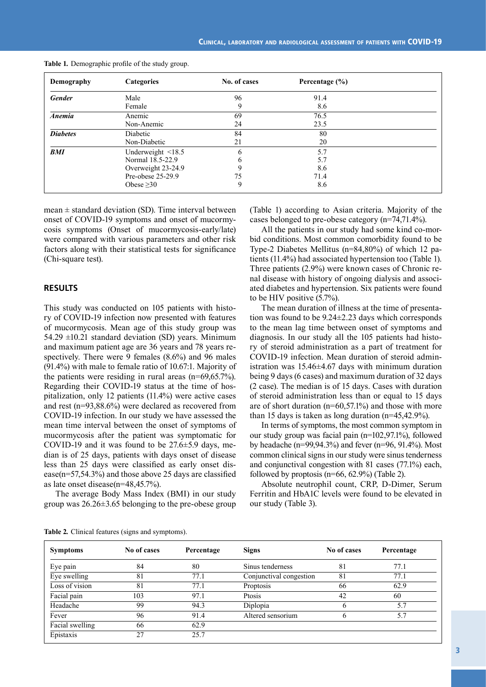| Demography      | <b>Categories</b>  | No. of cases | Percentage $(\% )$ |  |
|-----------------|--------------------|--------------|--------------------|--|
| <b>Gender</b>   | Male               | 96           | 91.4               |  |
|                 | Female             | 9            | 8.6                |  |
| <b>Anemia</b>   | Anemic             | 69           | 76.5               |  |
|                 | Non-Anemic         | 24           | 23.5               |  |
| <b>Diabetes</b> | Diabetic           | 84           | 80                 |  |
|                 | Non-Diabetic       | 21           | 20                 |  |
| BMI             | Underweight <18.5  | b            | 5.7                |  |
|                 | Normal 18.5-22.9   | b            | 5.7                |  |
|                 | Overweight 23-24.9 | 9            | 8.6                |  |
|                 | Pre-obese 25-29.9  | 75           | 71.4               |  |
|                 | Obese $\geq 30$    | 9            | 8.6                |  |

**Table 1***.* Demographic profile of the study group.

mean  $\pm$  standard deviation (SD). Time interval between onset of COVID-19 symptoms and onset of mucormycosis symptoms (Onset of mucormycosis-early/late) were compared with various parameters and other risk factors along with their statistical tests for significance (Chi-square test).

#### **RESULTS**

This study was conducted on 105 patients with history of COVID-19 infection now presented with features of mucormycosis. Mean age of this study group was 54.29  $\pm$ 10.21 standard deviation (SD) years. Minimum and maximum patient age are 36 years and 78 years respectively. There were 9 females (8.6%) and 96 males (91.4%) with male to female ratio of 10.67:1. Majority of the patients were residing in rural areas (n=69,65.7%). Regarding their COVID-19 status at the time of hospitalization, only 12 patients (11.4%) were active cases and rest (n=93,88.6%) were declared as recovered from COVID-19 infection. In our study we have assessed the mean time interval between the onset of symptoms of mucormycosis after the patient was symptomatic for COVID-19 and it was found to be  $27.6\pm5.9$  days, median is of 25 days, patients with days onset of disease less than 25 days were classified as early onset disease(n=57,54.3%) and those above 25 days are classified as late onset disease(n=48,45.7%).

The average Body Mass Index (BMI) in our study group was 26.26±3.65 belonging to the pre-obese group

(Table 1) according to Asian criteria. Majority of the cases belonged to pre-obese category (n=74,71.4%).

All the patients in our study had some kind co-morbid conditions. Most common comorbidity found to be Type-2 Diabetes Mellitus (n=84,80%) of which 12 patients (11.4%) had associated hypertension too (Table 1). Three patients (2.9%) were known cases of Chronic renal disease with history of ongoing dialysis and associated diabetes and hypertension. Six patients were found to be HIV positive (5.7%).

The mean duration of illness at the time of presentation was found to be 9.24±2.23 days which corresponds to the mean lag time between onset of symptoms and diagnosis. In our study all the 105 patients had history of steroid administration as a part of treatment for COVID-19 infection. Mean duration of steroid administration was 15.46±4.67 days with minimum duration being 9 days (6 cases) and maximum duration of 32 days (2 case). The median is of 15 days. Cases with duration of steroid administration less than or equal to 15 days are of short duration (n=60,57.1%) and those with more than 15 days is taken as long duration (n=45,42.9%).

In terms of symptoms, the most common symptom in our study group was facial pain (n=102,97.1%), followed by headache (n=99,94.3%) and fever (n=96, 91.4%). Most common clinical signs in our study were sinus tenderness and conjunctival congestion with 81 cases (77.1%) each, followed by proptosis (n=66, 62.9%) (Table 2).

Absolute neutrophil count, CRP, D-Dimer, Serum Ferritin and HbA1C levels were found to be elevated in our study (Table 3).

|  | Table 2. Clinical features (signs and symptoms). |  |  |  |  |  |  |
|--|--------------------------------------------------|--|--|--|--|--|--|
|--|--------------------------------------------------|--|--|--|--|--|--|

| <b>Symptoms</b> | No of cases | Percentage | <b>Signs</b>            | No of cases | Percentage |
|-----------------|-------------|------------|-------------------------|-------------|------------|
| Eye pain        | 84          | 80         | Sinus tenderness        | 81          | 77.1       |
| Eye swelling    | 81          | 77.1       | Conjunctival congestion | 81          | 77.1       |
| Loss of vision  | 81          | 77.1       | Proptosis               | 66          | 62.9       |
| Facial pain     | 103         | 97.1       | Ptosis                  | 42          | 60         |
| Headache        | 99          | 94.3       | Diplopia                |             | 5.7        |
| Fever           | 96          | 91.4       | Altered sensorium       | n           | 5.7        |
| Facial swelling | 66          | 62.9       |                         |             |            |
| Epistaxis       | 27          | 25.7       |                         |             |            |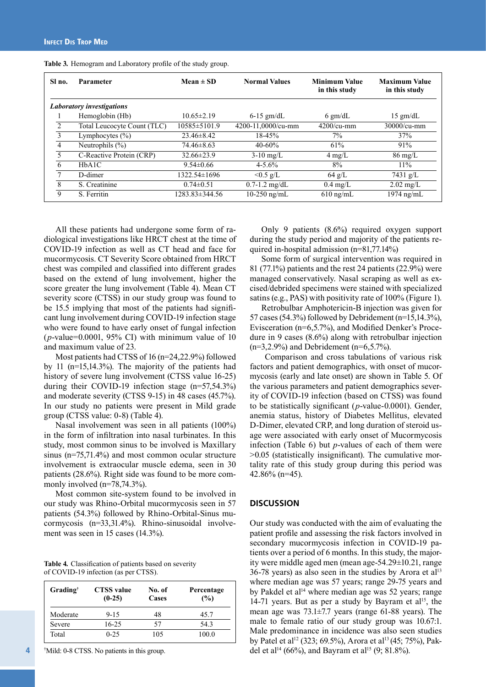| Sl no.         | Parameter                        | $Mean \pm SD$        | <b>Normal Values</b> | <b>Minimum Value</b><br>in this study | <b>Maximum Value</b><br>in this study |
|----------------|----------------------------------|----------------------|----------------------|---------------------------------------|---------------------------------------|
|                | <b>Laboratory investigations</b> |                      |                      |                                       |                                       |
|                | Hemoglobin (Hb)                  | $10.65 \pm 2.19$     | $6-15$ gm/dL         | $6 \text{ gm/dL}$                     | $15 \text{ gm/dL}$                    |
| $\mathfrak{D}$ | Total Leucocyte Count (TLC)      | 10585±5101.9         | 4200-11,0000/cu-mm   | $4200/cu$ -mm                         | $30000/cu$ -mm                        |
| 3              | Lymphocytes $(\% )$              | $23.46\pm8.42$       | 18-45%               | 7%                                    | 37%                                   |
| 4              | Neutrophils $(\%)$               | $74.46\pm8.63$       | $40 - 60\%$          | 61%                                   | 91%                                   |
| 5.             | C-Reactive Protein (CRP)         | $32.66\pm23.9$       | $3-10$ mg/L          | $4 \text{ mg/L}$                      | $86 \text{ mg/L}$                     |
| 6              | HbA1C                            | $9.54\pm0.66$        | $4 - 5.6\%$          | 8%                                    | 11%                                   |
|                | D-dimer                          | 1322.54±1696         | $<0.5$ g/L           | $64 \text{ g/L}$                      | 7431 g/L                              |
| 8              | S. Creatinine                    | $0.74 \pm 0.51$      | $0.7 - 1.2$ mg/dL    | $0.4 \text{ mg/L}$                    | $2.02 \text{ mg/L}$                   |
| 9              | S. Ferritin                      | $1283.83 \pm 344.56$ | $10-250$ ng/mL       | $610$ ng/mL                           | 1974 ng/mL                            |

**Table 3***.* Hemogram and Laboratory profile of the study group.

All these patients had undergone some form of radiological investigations like HRCT chest at the time of COVID-19 infection as well as CT head and face for mucormycosis. CT Severity Score obtained from HRCT chest was compiled and classified into different grades based on the extend of lung involvement, higher the score greater the lung involvement (Table 4). Mean CT severity score (CTSS) in our study group was found to be 15.5 implying that most of the patients had significant lung involvement during COVID-19 infection stage who were found to have early onset of fungal infection (*p*-value=0.0001, 95% CI) with minimum value of 10 and maximum value of 23.

Most patients had CTSS of 16 (n=24,22.9%) followed by 11 (n=15,14.3%). The majority of the patients had history of severe lung involvement (CTSS value 16-25) during their COVID-19 infection stage (n=57,54.3%) and moderate severity (CTSS 9-15) in 48 cases (45.7%). In our study no patients were present in Mild grade group (CTSS value: 0-8) (Table 4).

Nasal involvement was seen in all patients (100%) in the form of infiltration into nasal turbinates. In this study, most common sinus to be involved is Maxillary sinus (n=75,71.4%) and most common ocular structure involvement is extraocular muscle edema, seen in 30 patients (28.6%). Right side was found to be more commonly involved (n=78,74.3%).

Most common site-system found to be involved in our study was Rhino-Orbital mucormycosis seen in 57 patients (54.3%) followed by Rhino-Orbital-Sinus mucormycosis (n=33,31.4%). Rhino-sinusoidal involvement was seen in 15 cases (14.3%).

**Table 4***.* Classification of patients based on severity of COVID-19 infection (as per CTSS).

| Grading <sup>†</sup> | <b>CTSS</b> value<br>$(0-25)$ | No. of<br>Cases | Percentage<br>(%) |
|----------------------|-------------------------------|-----------------|-------------------|
| Moderate             | $9 - 15$                      | 48              | 45.7              |
| Severe               | $16 - 25$                     | 57              | 543               |
| Total                | $0 - 25$                      | 105             | 100.0             |

† Mild: 0-8 CTSS. No patients in this group.

4

Only 9 patients (8.6%) required oxygen support during the study period and majority of the patients required in-hospital admission (n=81,77.14%)

Some form of surgical intervention was required in 81 (77.1%) patients and the rest 24 patients (22.9%) were managed conservatively. Nasal scraping as well as excised/debrided specimens were stained with specialized satins (e.g., PAS) with positivity rate of 100% (Figure 1).

Retrobulbar Amphotericin-B injection was given for 57 cases (54.3%) followed by Debridement (n=15,14.3%), Evisceration (n=6,5.7%), and Modified Denker's Procedure in 9 cases (8.6%) along with retrobulbar injection  $(n=3,2.9\%)$  and Debridement  $(n=6,5.7\%)$ .

 Comparison and cross tabulations of various risk factors and patient demographics, with onset of mucormycosis (early and late onset) are shown in Table 5. Of the various parameters and patient demographics severity of COVID-19 infection (based on CTSS) was found to be statistically significant (*p*-value-0.0001). Gender, anemia status, history of Diabetes Mellitus, elevated D-Dimer, elevated CRP, and long duration of steroid usage were associated with early onset of Mucormycosis infection (Table 6) but *p*-values of each of them were >0.05 (statistically insignificant). The cumulative mortality rate of this study group during this period was 42.86% (n=45).

#### **DISCUSSION**

Our study was conducted with the aim of evaluating the patient profile and assessing the risk factors involved in secondary mucormycosis infection in COVID-19 patients over a period of 6 months. In this study, the majority were middle aged men (mean age-54.29±10.21, range  $36-78$  years) as also seen in the studies by Arora et al<sup>13</sup> where median age was 57 years; range 29-75 years and by Pakdel et al<sup>14</sup> where median age was 52 years; range 14-71 years. But as per a study by Bayram et al<sup>15</sup>, the mean age was 73.1±7.7 years (range 61-88 years). The male to female ratio of our study group was 10.67:1. Male predominance in incidence was also seen studies by Patel et al<sup>12</sup> (323; 69.5%), Arora et al<sup>13</sup> (45; 75%), Pakdel et al<sup>14</sup> (66%), and Bayram et al<sup>15</sup> (9; 81.8%).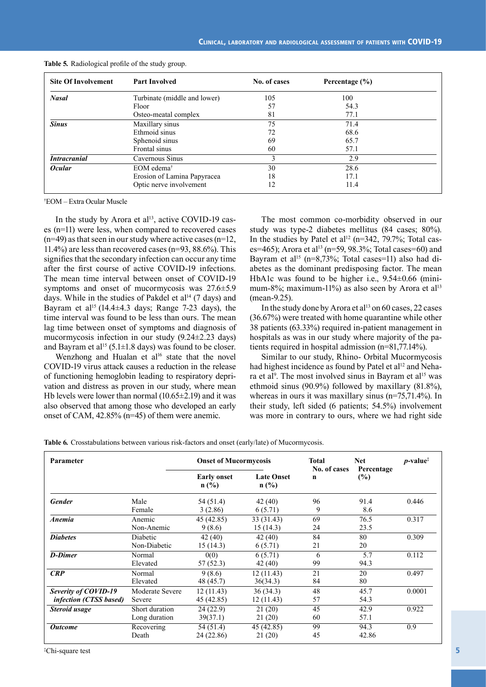| <b>Site Of Involvement</b> | <b>Part Involved</b>         | No. of cases | Percentage $(\% )$ |  |
|----------------------------|------------------------------|--------------|--------------------|--|
| <b>Nasal</b>               | Turbinate (middle and lower) | 105          | 100                |  |
|                            | Floor                        | 57           | 54.3               |  |
|                            | Osteo-meatal complex         | 81           | 77.1               |  |
| <b>Sinus</b>               | Maxillary sinus              | 75           | 71.4               |  |
|                            | Ethmoid sinus                | 72           | 68.6               |  |
|                            | Sphenoid sinus               | 69           | 65.7               |  |
|                            | Frontal sinus                | 60           | 57.1               |  |
| <b>Intracranial</b>        | Cavernous Sinus              |              | 2.9                |  |
| <b>Ocular</b>              | EOM edema <sup>†</sup>       | 30           | 28.6               |  |
|                            | Erosion of Lamina Papyracea  | 18           | 17.1               |  |
|                            | Optic nerve involvement      | 12           | 11.4               |  |

|  | Table 5. Radiological profile of the study group. |  |  |
|--|---------------------------------------------------|--|--|
|--|---------------------------------------------------|--|--|

† EOM – Extra Ocular Muscle

In the study by Arora et al<sup>13</sup>, active COVID-19 cases (n=11) were less, when compared to recovered cases  $(n=49)$  as that seen in our study where active cases  $(n=12)$ , 11.4%) are less than recovered cases (n=93, 88.6%). This signifies that the secondary infection can occur any time after the first course of active COVID-19 infections. The mean time interval between onset of COVID-19 symptoms and onset of mucormycosis was 27.6±5.9 days. While in the studies of Pakdel et al<sup>14</sup> (7 days) and Bayram et al<sup>15</sup> (14.4 $\pm$ 4.3 days; Range 7-23 days), the time interval was found to be less than ours. The mean lag time between onset of symptoms and diagnosis of mucormycosis infection in our study (9.24±2.23 days) and Bayram et al<sup>15</sup> (5.1 $\pm$ 1.8 days) was found to be closer.

Wenzhong and Hualan et al<sup>16</sup> state that the novel COVID-19 virus attack causes a reduction in the release of functioning hemoglobin leading to respiratory deprivation and distress as proven in our study, where mean Hb levels were lower than normal (10.65±2.19) and it was also observed that among those who developed an early onset of CAM, 42.85% (n=45) of them were anemic.

The most common co-morbidity observed in our study was type-2 diabetes mellitus (84 cases; 80%). In the studies by Patel et al<sup>12</sup> ( $n=342$ , 79.7%; Total cases=465); Arora et al<sup>13</sup> (n=59, 98.3%; Total cases=60) and Bayram et al<sup>15</sup> (n=8,73%; Total cases=11) also had diabetes as the dominant predisposing factor. The mean HbA1c was found to be higher i.e., 9.54±0.66 (minimum-8%; maximum-11%) as also seen by Arora et al<sup>13</sup> (mean-9.25).

In the study done by Arora et  $al<sup>13</sup>$  on 60 cases, 22 cases (36.67%) were treated with home quarantine while other 38 patients (63.33%) required in-patient management in hospitals as was in our study where majority of the patients required in hospital admission (n=81,77.14%).

Similar to our study, Rhino- Orbital Mucormycosis had highest incidence as found by Patel et al<sup>12</sup> and Nehara et al<sup>9</sup>. The most involved sinus in Bayram et al<sup>15</sup> was ethmoid sinus (90.9%) followed by maxillary (81.8%), whereas in ours it was maxillary sinus (n=75,71.4%). In their study, left sided (6 patients; 54.5%) involvement was more in contrary to ours, where we had right side

**Table 6***.* Crosstabulations between various risk-factors and onset (early/late) of Mucormycosis.

| Parameter                                      |                                 | <b>Onset of Mucormycosis</b>  |                              | <b>Total</b><br>No. of cases | <b>Net</b><br>Percentage | $p$ -value <sup><math>\ddag</math></sup> |
|------------------------------------------------|---------------------------------|-------------------------------|------------------------------|------------------------------|--------------------------|------------------------------------------|
|                                                |                                 | <b>Early onset</b><br>$n$ (%) | <b>Late Onset</b><br>$n$ (%) | $\mathbf n$                  | (%)                      |                                          |
| <b>Gender</b>                                  | Male<br>Female                  | 54 (51.4)<br>3(2.86)          | 42(40)<br>6 (5.71)           | 96<br>9                      | 91.4<br>8.6              | 0.446                                    |
| Anemia                                         | Anemic<br>Non-Anemic            | 45 (42.85)<br>9(8.6)          | 33 (31.43)<br>15(14.3)       | 69<br>24                     | 76.5<br>23.5             | 0.317                                    |
| <b>Diabetes</b>                                | Diabetic<br>Non-Diabetic        | 42(40)<br>15(14.3)            | 42 (40)<br>6(5.71)           | 84<br>21                     | 80<br>20                 | 0.309                                    |
| <b>D-Dimer</b>                                 | Normal<br>Elevated              | 0(0)<br>57(52.3)              | 6(5.71)<br>42 (40)           | 6<br>99                      | 5.7<br>94.3              | 0.112                                    |
| CRP                                            | Normal<br>Elevated              | 9(8.6)<br>48 (45.7)           | 12(11.43)<br>36(34.3)        | 21<br>84                     | 20<br>80                 | 0.497                                    |
| Severity of COVID-19<br>infection (CTSS based) | Moderate Severe<br>Severe       | 12(11.43)<br>45 (42.85)       | 36(34.3)<br>12(11.43)        | 48<br>57                     | 45.7<br>54.3             | 0.0001                                   |
| Steroid usage                                  | Short duration<br>Long duration | 24(22.9)<br>39(37.1)          | 21(20)<br>21 (20)            | 45<br>60                     | 42.9<br>57.1             | 0.922                                    |
| <b>Outcome</b>                                 | Recovering<br>Death             | 54 (51.4)<br>24 (22.86)       | 45 (42.85)<br>21(20)         | 99<br>45                     | 94.3<br>42.86            | $\overline{0.9}$                         |

‡ Chi-square test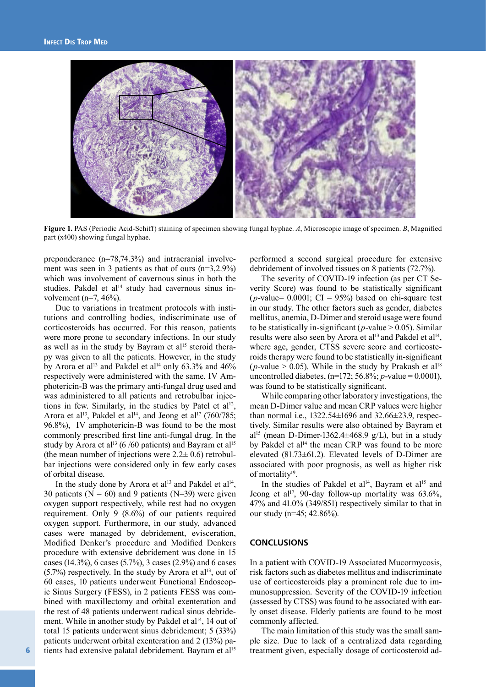

**Figure 1.** PAS (Periodic Acid-Schiff) staining of specimen showing fungal hyphae. *A*, Microscopic image of specimen. *B*, Magnified part (x400) showing fungal hyphae.

preponderance (n=78,74.3%) and intracranial involvement was seen in 3 patients as that of ours (n=3,2.9%) which was involvement of cavernous sinus in both the studies. Pakdel et al $14$  study had cavernous sinus involvement (n=7,  $46\%$ ).

Due to variations in treatment protocols with institutions and controlling bodies, indiscriminate use of corticosteroids has occurred. For this reason, patients were more prone to secondary infections. In our study as well as in the study by Bayram et al<sup>15</sup> steroid therapy was given to all the patients. However, in the study by Arora et al<sup>13</sup> and Pakdel et al<sup>14</sup> only 63.3% and 46% respectively were administered with the same. IV Amphotericin-B was the primary anti-fungal drug used and was administered to all patients and retrobulbar injections in few. Similarly, in the studies by Patel et  $al<sup>12</sup>$ , Arora et al<sup>13</sup>, Pakdel et al<sup>14</sup>, and Jeong et al<sup>17</sup> (760/785; 96.8%), IV amphotericin-B was found to be the most commonly prescribed first line anti-fungal drug. In the study by Arora et al<sup>13</sup> (6 /60 patients) and Bayram et al<sup>15</sup> (the mean number of injections were  $2.2 \pm 0.6$ ) retrobulbar injections were considered only in few early cases of orbital disease.

In the study done by Arora et al<sup>13</sup> and Pakdel et al<sup>14</sup>, 30 patients ( $N = 60$ ) and 9 patients ( $N = 39$ ) were given oxygen support respectively, while rest had no oxygen requirement. Only 9 (8.6%) of our patients required oxygen support. Furthermore, in our study, advanced cases were managed by debridement, evisceration, Modified Denker's procedure and Modified Denkers procedure with extensive debridement was done in 15 cases (14.3%), 6 cases (5.7%), 3 cases (2.9%) and 6 cases  $(5.7%)$  respectively. In the study by Arora et al<sup>13</sup>, out of 60 cases, 10 patients underwent Functional Endoscopic Sinus Surgery (FESS), in 2 patients FESS was combined with maxillectomy and orbital exenteration and the rest of 48 patients underwent radical sinus debridement. While in another study by Pakdel et al<sup>14</sup>, 14 out of total 15 patients underwent sinus debridement; 5 (33%) patients underwent orbital exenteration and 2 (13%) patients had extensive palatal debridement. Bayram et al<sup>15</sup>

performed a second surgical procedure for extensive debridement of involved tissues on 8 patients (72.7%).

The severity of COVID-19 infection (as per CT Severity Score) was found to be statistically significant ( $p$ -value= 0.0001; CI = 95%) based on chi-square test in our study. The other factors such as gender, diabetes mellitus, anemia, D-Dimer and steroid usage were found to be statistically in-significant ( $p$ -value  $> 0.05$ ). Similar results were also seen by Arora et al<sup>13</sup> and Pakdel et al<sup>14</sup>, where age, gender, CTSS severe score and corticosteroids therapy were found to be statistically in-significant (*p*-value  $> 0.05$ ). While in the study by Prakash et al<sup>18</sup> uncontrolled diabetes, (n=172; 56.8%; *p*-value = 0.0001), was found to be statistically significant.

While comparing other laboratory investigations, the mean D-Dimer value and mean CRP values were higher than normal i.e., 1322.54±1696 and 32.66±23.9, respectively. Similar results were also obtained by Bayram et al<sup>15</sup> (mean D-Dimer-1362.4 $\pm$ 468.9 g/L), but in a study by Pakdel et al<sup>14</sup> the mean CRP was found to be more elevated (81.73±61.2). Elevated levels of D-Dimer are associated with poor prognosis, as well as higher risk of mortality<sup>19</sup>.

In the studies of Pakdel et al<sup>14</sup>, Bayram et al<sup>15</sup> and Jeong et al<sup>17</sup>, 90-day follow-up mortality was  $63.6\%$ , 47% and 41.0% (349/851) respectively similar to that in our study (n=45; 42.86%).

#### **CONCLUSIONS**

In a patient with COVID-19 Associated Mucormycosis, risk factors such as diabetes mellitus and indiscriminate use of corticosteroids play a prominent role due to immunosuppression. Severity of the COVID-19 infection (assessed by CTSS) was found to be associated with early onset disease. Elderly patients are found to be most commonly affected.

The main limitation of this study was the small sample size. Due to lack of a centralized data regarding treatment given, especially dosage of corticosteroid ad